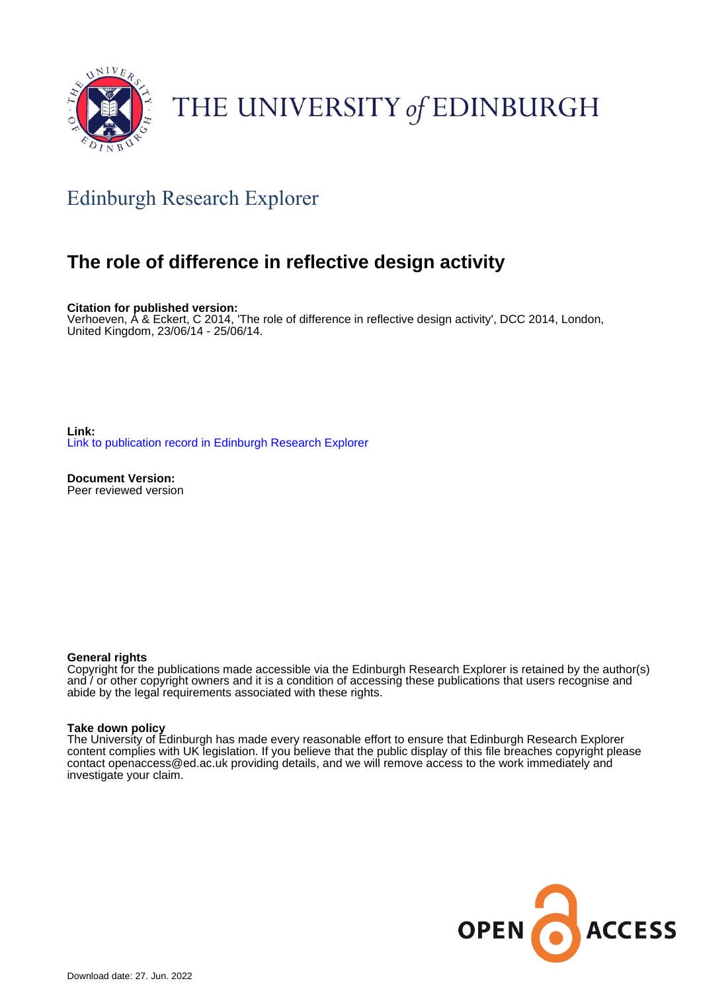

### THE UNIVERSITY of EDINBURGH

### Edinburgh Research Explorer

### **The role of difference in reflective design activity**

**Citation for published version:**

Verhoeven, A & Eckert, C 2014, 'The role of difference in reflective design activity', DCC 2014, London, United Kingdom, 23/06/14 - 25/06/14.

**Link:** [Link to publication record in Edinburgh Research Explorer](https://www.research.ed.ac.uk/en/publications/dbee439f-8c6a-4826-b64e-f84c9c9b46b6)

**Document Version:** Peer reviewed version

### **General rights**

Copyright for the publications made accessible via the Edinburgh Research Explorer is retained by the author(s) and / or other copyright owners and it is a condition of accessing these publications that users recognise and abide by the legal requirements associated with these rights.

### **Take down policy**

The University of Edinburgh has made every reasonable effort to ensure that Edinburgh Research Explorer content complies with UK legislation. If you believe that the public display of this file breaches copyright please contact openaccess@ed.ac.uk providing details, and we will remove access to the work immediately and investigate your claim.